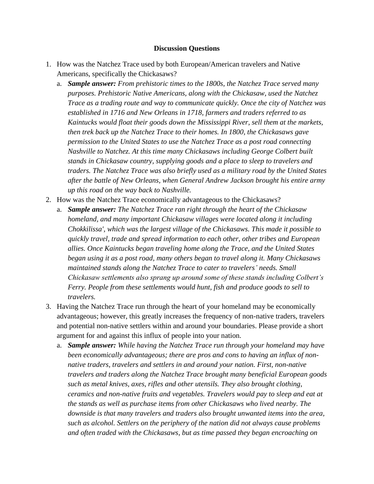## **Discussion Questions**

- 1. How was the Natchez Trace used by both European/American travelers and Native Americans, specifically the Chickasaws?
	- a. *Sample answer: From prehistoric times to the 1800s, the Natchez Trace served many purposes. Prehistoric Native Americans, along with the Chickasaw, used the Natchez Trace as a trading route and way to communicate quickly. Once the city of Natchez was established in 1716 and New Orleans in 1718, farmers and traders referred to as Kaintucks would float their goods down the Mississippi River, sell them at the markets, then trek back up the Natchez Trace to their homes. In 1800, the Chickasaws gave permission to the United States to use the Natchez Trace as a post road connecting Nashville to Natchez. At this time many Chickasaws including George Colbert built stands in Chickasaw country, supplying goods and a place to sleep to travelers and traders. The Natchez Trace was also briefly used as a military road by the United States after the battle of New Orleans, when General Andrew Jackson brought his entire army up this road on the way back to Nashville.*
- 2. How was the Natchez Trace economically advantageous to the Chickasaws?
	- a. *Sample answer: The Natchez Trace ran right through the heart of the Chickasaw homeland, and many important Chickasaw villages were located along it including Chokkilissa', which was the largest village of the Chickasaws. This made it possible to quickly travel, trade and spread information to each other, other tribes and European allies. Once Kaintucks began traveling home along the Trace, and the United States began using it as a post road, many others began to travel along it. Many Chickasaws maintained stands along the Natchez Trace to cater to travelers' needs. Small Chickasaw settlements also sprang up around some of these stands including Colbert's Ferry. People from these settlements would hunt, fish and produce goods to sell to travelers.*
- 3. Having the Natchez Trace run through the heart of your homeland may be economically advantageous; however, this greatly increases the frequency of non-native traders, travelers and potential non-native settlers within and around your boundaries. Please provide a short argument for and against this influx of people into your nation.
	- a. *Sample answer: While having the Natchez Trace run through your homeland may have been economically advantageous; there are pros and cons to having an influx of nonnative traders, travelers and settlers in and around your nation. First, non-native travelers and traders along the Natchez Trace brought many beneficial European goods such as metal knives, axes, rifles and other utensils. They also brought clothing, ceramics and non-native fruits and vegetables. Travelers would pay to sleep and eat at the stands as well as purchase items from other Chickasaws who lived nearby. The downside is that many travelers and traders also brought unwanted items into the area, such as alcohol. Settlers on the periphery of the nation did not always cause problems and often traded with the Chickasaws, but as time passed they began encroaching on*